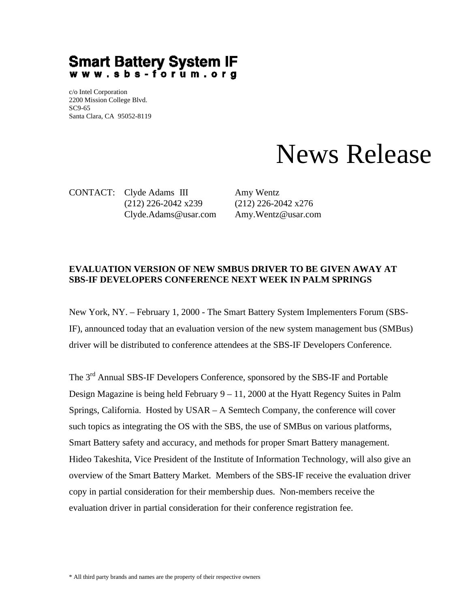## Smart Battery System IF<br>www.sbs-forum.org

c/o Intel Corporation 2200 Mission College Blvd. SC9-65 Santa Clara, CA 95052-8119

## News Release

CONTACT: Clyde Adams III Amy Wentz (212) 226-2042 x239 (212) 226-2042 x276 Clyde.Adams@usar.com Amy.Wentz@usar.com

## **EVALUATION VERSION OF NEW SMBUS DRIVER TO BE GIVEN AWAY AT SBS-IF DEVELOPERS CONFERENCE NEXT WEEK IN PALM SPRINGS**

New York, NY. – February 1, 2000 - The Smart Battery System Implementers Forum (SBS-IF), announced today that an evaluation version of the new system management bus (SMBus) driver will be distributed to conference attendees at the SBS-IF Developers Conference.

The 3<sup>rd</sup> Annual SBS-IF Developers Conference, sponsored by the SBS-IF and Portable Design Magazine is being held February  $9 - 11$ , 2000 at the Hyatt Regency Suites in Palm Springs, California. Hosted by USAR – A Semtech Company, the conference will cover such topics as integrating the OS with the SBS, the use of SMBus on various platforms, Smart Battery safety and accuracy, and methods for proper Smart Battery management. Hideo Takeshita, Vice President of the Institute of Information Technology, will also give an overview of the Smart Battery Market. Members of the SBS-IF receive the evaluation driver copy in partial consideration for their membership dues. Non-members receive the evaluation driver in partial consideration for their conference registration fee.